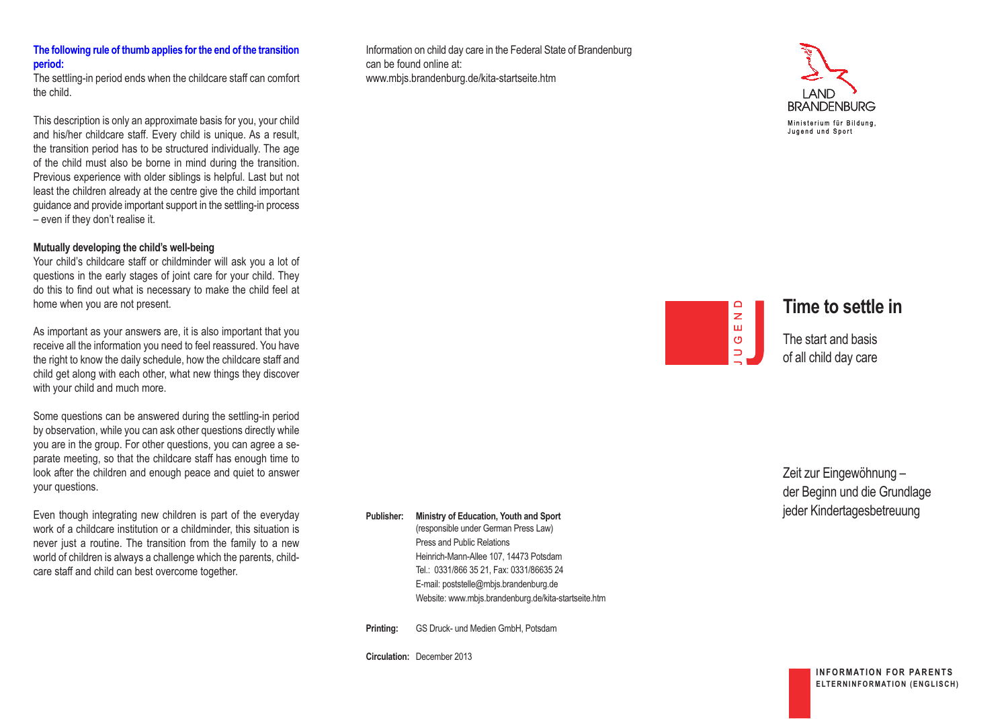## **the following rule of thumb applies for the end of the transition period:**

The settling-in period ends when the childcare staff can comfort the child.

This description is only an approximate basis for you, your child and his/her childcare staff. Every child is unique. As a result, the transition period has to be structured individually. The age of the child must also be borne in mind during the transition. Previous experience with older siblings is helpful. Last but not least the children already at the centre give the child important guidance and provide important support in the settling-in process – even if they don't realise it.

## **mutually developing the child's well-being**

Your child's childcare staff or childminder will ask you a lot of questions in the early stages of joint care for your child. They do this to find out what is necessary to make the child feel at home when you are not present.

As important as your answers are, it is also important that you receive all the information you need to feel reassured. You have the right to know the daily schedule, how the childcare staff and child get along with each other, what new things they discover with your child and much more.

Some questions can be answered during the settling-in period by observation, while you can ask other questions directly while you are in the group. For other questions, you can agree a separate meeting, so that the childcare staff has enough time to look after the children and enough peace and quiet to answer your questions.

Even though integrating new children is part of the everyday work of a childcare institution or a childminder, this situation is never just a routine. The transition from the family to a new world of children is always a challenge which the parents, childcare staff and child can best overcome together.

Information on child day care in the Federal State of Brandenburg can be found online at: www.mbjs.brandenburg.de/kita-startseite.htm



# $\Box$  $\overline{z}$ Ш  $\circ$  $\Rightarrow$

# **time to settle in**

The start and basis of all child day care

Zeit zur Eingewöhnung – der Beginn und die Grundlage jeder Kindertagesbetreuung

Publisher: Ministry of Education, Youth and Sport (responsible under German Press Law) Press and Public Relations Heinrich-Mann-Allee 107, 14473 Potsdam Tel.: 0331/866 35 21, Fax: 0331/86635 24 E-mail: poststelle@mbjs.brandenburg.de

Website: www.mbjs.brandenburg.de/kita-startseite.htm

**printing:** GS Druck- und Medien GmbH, Potsdam

**circulation:** December 2013